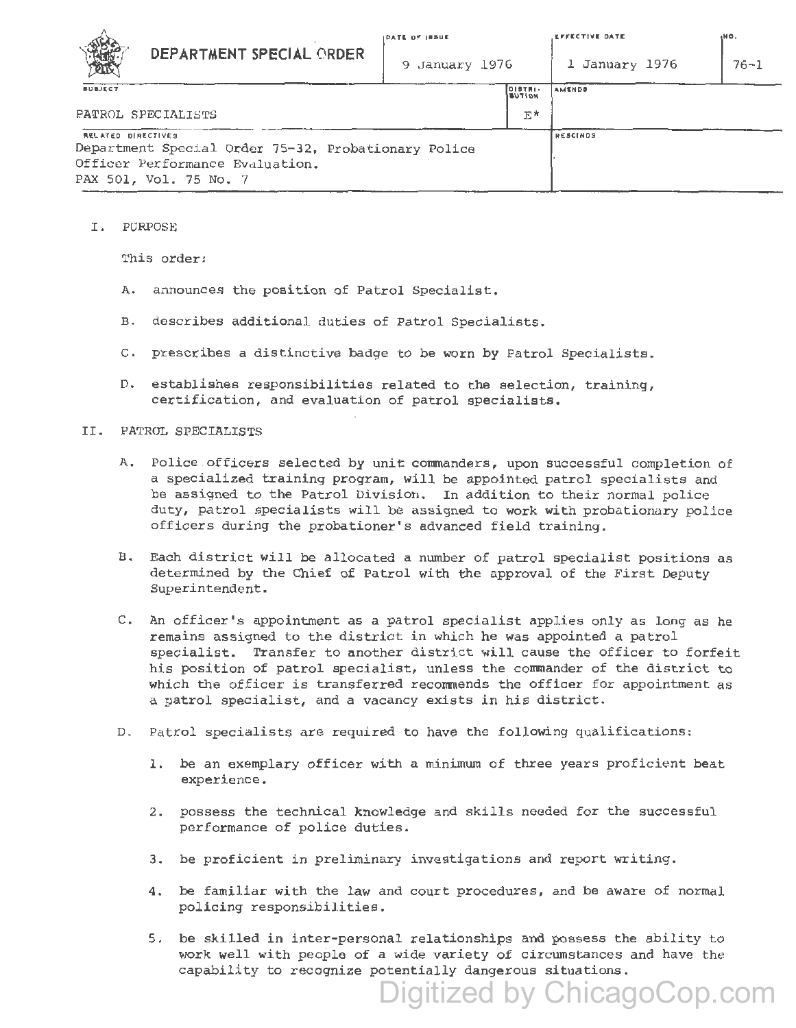

| <b>SANSARE</b><br>DEPARTMENT SPECIAL ORDER<br>XШ                                                                                              | 9 January 1976 |                             | 1 January 1976 | $76 - 1$ |
|-----------------------------------------------------------------------------------------------------------------------------------------------|----------------|-----------------------------|----------------|----------|
| <b>SUBJECT</b>                                                                                                                                |                | $IDISTNI-$<br><b>BUTION</b> | <b>AMENDS</b>  |          |
| PATROL SPECIALISTS                                                                                                                            |                | E*                          |                |          |
| <b>RELATED DIRECTIVES</b><br>Department Special Order 75-32, Probationary Police<br>Officer Performance Evaluation.<br>PAX 501, Vol. 75 No. 7 |                | <b>RESCINDS</b>             |                |          |

I. PURPOSE

This order:

- A. announces the position of Patrol Specialist.
- B. de scribes additional duties of Patrol Specialists.
- C. prescribes a distinctive badge to be worn by Patrol Specialists.
- D. establishes responsibilities related to the selection, training, certification, and evaluation of patrol specialists.

## II. PATROL SPECIALISTS

- A. Police officers selected by unit commanders, upon successful completion of a specialized training program, will be appointed patrol specialists and be assigned to the Patrol Division. In addition to their normal police duty, patrol specialists will be assigned to work with probationary police officers during the probationer's advanced field training.
- B. Each district will be allocated a number of patrol specialist positions as determined by the Chief of Patrol with the approval of the First Deputy Superintendent.
- C. An officer's appointment as a patrol specialist applies only as long as he remains assigned to the district in which he was appointed a patrol specialist. Transfer to another district will cause the officer to forfeit his position of patrol specialist, unless the conmander of the district to which the officer is transferred recommends the officer for appointment as a patrol specialist, and a vacancy exists in his district.
- D. Patrol specialists are required to have the following qualifications:
	- 1. be an exemplary officer with a minimum of three years proficient beat experience.
	- 2. possess the technical knowledge and skills needed for the successful performance of police duties.
	- 3. be proficient in preliminary investigations and report writing.
	- 4. be familiar with the law and court procedures, and be aware of normal policing responsibilities.
	- 5. be skilled in inter-personal relationships and possess the ability to work well with people of a wide variety of circumstances and have the capability to recognize potentially dangerous situations.

Digitized by ChicagoCop.com